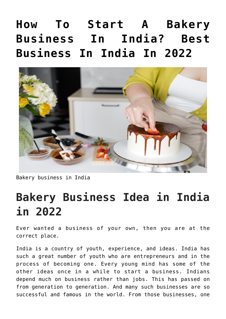# **[How To Start A Bakery](https://inbusinessideas.com/bakery-business-in-india-in-2022/) [Business In India? Best](https://inbusinessideas.com/bakery-business-in-india-in-2022/) [Business In India In 2022](https://inbusinessideas.com/bakery-business-in-india-in-2022/)**



Bakery business in India

# **Bakery Business Idea in India in 2022**

Ever wanted a business of your own, then you are at the correct place.

India is a country of youth, experience, and ideas. India has such a great number of youth who are entrepreneurs and in the process of becoming one. Every young mind has some of the other ideas once in a while to start a business. Indians depend much on business rather than jobs. This has passed on from generation to generation. And many such businesses are so successful and famous in the world. From those businesses, one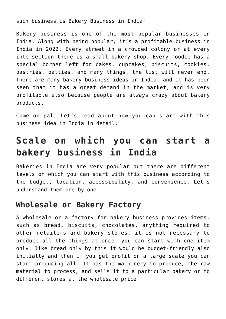such business is Bakery Business in India!

Bakery business is one of the most popular businesses in India. Along with being popular, it's a profitable business in India in 2022. Every street in a crowded colony or at every intersection there is a small bakery shop. Every foodie has a special corner left for cakes, cupcakes, biscuits, cookies, pastries, patties, and many things, the list will never end. There are many bakery business ideas in India, and it has been seen that it has a great demand in the market, and is very profitable also because people are always crazy about bakery products.

Come on pal, Let's read about how you can start with this business idea in India in detail.

### **Scale on which you can start a bakery business in India**

Bakeries in India are very popular but there are different levels on which you can start with this business according to the budget, location, accessibility, and convenience. Let's understand them one by one.

### **Wholesale or Bakery Factory**

A wholesale or a factory for bakery business provides items, such as bread, biscuits, chocolates, anything required to other retailers and bakery stores, it is not necessary to produce all the things at once, you can start with one item only, like bread only by this it would be budget-friendly also initially and then if you get profit on a large scale you can start producing all. It has the machinery to produce, the raw material to process, and sells it to a particular bakery or to different stores at the wholesale price.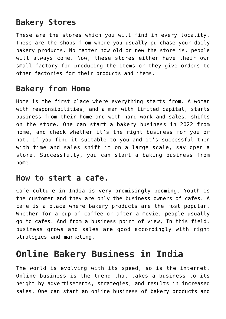### **Bakery Stores**

These are the stores which you will find in every locality. These are the shops from where you usually purchase your daily bakery products. No matter how old or new the store is, people will always come. Now, these stores either have their own small factory for producing the items or they give orders to other factories for their products and items.

#### **Bakery from Home**

Home is the first place where everything starts from. A woman with responsibilities, and a man with limited capital, starts business from their home and with hard work and sales, shifts on the store. One can start a bakery business in 2022 from home, and check whether it's the right business for you or not, if you find it suitable to you and it's successful then with time and sales shift it on a large scale, say open a store. Successfully, you can start a baking business from home.

#### **How to start a cafe.**

Cafe culture in India is very promisingly booming. Youth is the customer and they are only the business owners of cafes. A cafe is a place where bakery products are the most popular. Whether for a cup of coffee or after a movie, people usually go to cafes. And from a business point of view, In this field, business grows and sales are good accordingly with right strategies and marketing.

# **Online Bakery Business in India**

The world is evolving with its speed, so is the internet. Online business is the trend that takes a business to its height by advertisements, strategies, and results in increased sales. One can start an online business of bakery products and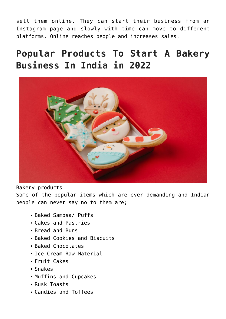sell them online. They can start their business from an Instagram page and slowly with time can move to different platforms. Online reaches people and increases sales.

### **Popular Products To Start A Bakery Business In India in 2022**



Bakery products

Some of the popular items which are ever demanding and Indian people can never say no to them are;

- Baked Samosa/ Puffs
- Cakes and Pastries
- Bread and Buns
- Baked Cookies and Biscuits
- Baked Chocolates
- Ice Cream Raw Material
- Fruit Cakes
- Snakes
- Muffins and Cupcakes
- Rusk Toasts
- Candies and Toffees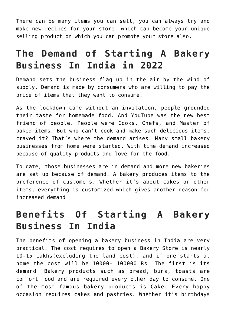There can be many items you can sell, you can always try and make new recipes for your store, which can become your unique selling product on which you can promote your store also.

### **The Demand of Starting A Bakery Business In India in 2022**

Demand sets the business flag up in the air by the wind of supply. Demand is made by consumers who are willing to pay the price of items that they want to consume.

As the lockdown came without an invitation, people grounded their taste for homemade food. And YouTube was the new best friend of people. People were Cooks, Chefs, and Master of baked items. But who can't cook and make such delicious items, craved it? That's where the demand arises. Many small bakery businesses from home were started. With time demand increased because of quality products and love for the food.

To date, those businesses are in demand and more new bakeries are set up because of demand. A bakery produces items to the preference of customers. Whether it's about cakes or other items, everything is customized which gives another reason for increased demand.

### **Benefits Of Starting A Bakery Business In India**

The benefits of opening a bakery business in India are very practical. The cost requires to open a Bakery Store is nearly 10-15 Lakhs(excluding the land cost), and if one starts at home the cost will be 10000- 100000 Rs. The first is its demand. Bakery products such as bread, buns, toasts are comfort food and are required every other day to consume. One of the most famous bakery products is Cake. Every happy occasion requires cakes and pastries. Whether it's birthdays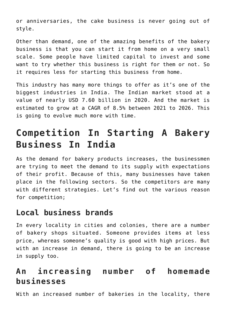or anniversaries, the cake business is never going out of style.

Other than demand, one of the amazing benefits of the bakery business is that you can start it from home on a very small scale. Some people have limited capital to invest and some want to try whether this business is right for them or not. So it requires less for starting this business from home.

This industry has many more things to offer as it's one of the biggest industries in India. The Indian market stood at a value of nearly USD 7.60 billion in 2020. And the market is estimated to grow at a CAGR of 8.5% between 2021 to 2026. This is going to evolve much more with time.

# **Competition In Starting A Bakery Business In India**

As the demand for bakery products increases, the businessmen are trying to meet the demand to its supply with expectations of their profit. Because of this, many businesses have taken place in the following sectors. So the competitors are many with different strategies. Let's find out the various reason for competition;

#### **Local business brands**

In every locality in cities and colonies, there are a number of bakery shops situated. Someone provides items at less price, whereas someone's quality is good with high prices. But with an increase in demand, there is going to be an increase in supply too.

### **An increasing number of homemade businesses**

With an increased number of bakeries in the locality, there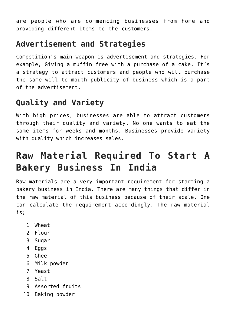are people who are commencing businesses from home and providing different items to the customers.

### **Advertisement and Strategies**

Competition's main weapon is advertisement and strategies. For example, Giving a muffin free with a purchase of a cake. It's a strategy to attract customers and people who will purchase the same will to mouth publicity of business which is a part of the advertisement.

### **Quality and Variety**

With high prices, businesses are able to attract customers through their quality and variety. No one wants to eat the same items for weeks and months. Businesses provide variety with quality which increases sales.

# **Raw Material Required To Start A Bakery Business In India**

Raw materials are a very important requirement for starting a bakery business in India. There are many things that differ in the raw material of this business because of their scale. One can calculate the requirement accordingly. The raw material is;

- 1. Wheat
- 2. Flour
- 3. Sugar
- 4. Eggs
- 5. Ghee
- 6. Milk powder
- 7. Yeast
- 8. Salt
- 9. Assorted fruits
- 10. Baking powder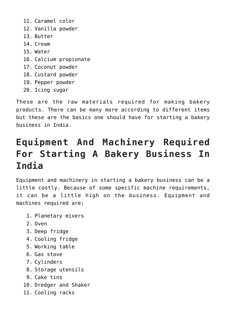- 11. Caramel color
- 12. Vanilla powder
- 13. Butter
- 14. Cream
- 15. Water
- 16. Calcium propionate
- 17. Coconut powder
- 18. Custard powder
- 19. Pepper powder
- 20. Icing sugar

These are the raw materials required for making bakery products. There can be many more according to different items but these are the basics one should have for starting a bakery business in India.

# **Equipment And Machinery Required For Starting A Bakery Business In India**

Equipment and machinery in starting a bakery business can be a little costly. Because of some specific machine requirements, it can be a little high on the business. Equipment and machines required are;

- 1. Planetary mixers
- 2. Oven
- 3. Deep fridge
- 4. Cooling fridge
- 5. Working table
- 6. Gas stove
- 7. Cylinders
- 8. Storage utensils
- 9. Cake tins
- 10. Dredger and Shaker
- 11. Cooling racks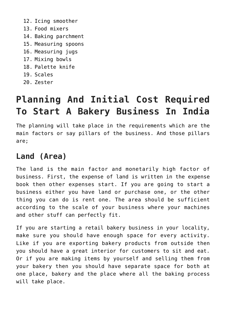```
12. Icing smoother
13. Food mixers
14. Baking parchment
15. Measuring spoons
16. Measuring jugs
17. Mixing bowls
18. Palette knife
19. Scales
```
20. Zester

# **Planning And Initial Cost Required To Start A Bakery Business In India**

The planning will take place in the requirements which are the main factors or say pillars of the business. And those pillars are;

#### **Land (Area)**

The land is the main factor and monetarily high factor of business. First, the expense of land is written in the expense book then other expenses start. If you are going to start a business either you have land or purchase one, or the other thing you can do is rent one. The area should be sufficient according to the scale of your business where your machines and other stuff can perfectly fit.

If you are starting a retail bakery business in your locality, make sure you should have enough space for every activity. Like if you are exporting bakery products from outside then you should have a great interior for customers to sit and eat. Or if you are making items by yourself and selling them from your bakery then you should have separate space for both at one place, bakery and the place where all the baking process will take place.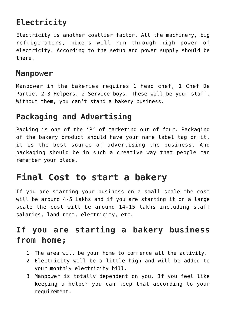### **Electricity**

Electricity is another costlier factor. All the machinery, big refrigerators, mixers will run through high power of electricity. According to the setup and power supply should be there.

#### **Manpower**

Manpower in the bakeries requires 1 head chef, 1 Chef De Partie, 2-3 Helpers, 2 Service boys. These will be your staff. Without them, you can't stand a bakery business.

### **Packaging and Advertising**

Packing is one of the 'P' of marketing out of four. Packaging of the bakery product should have your name label tag on it, it is the best source of advertising the business. And packaging should be in such a creative way that people can remember your place.

### **Final Cost to start a bakery**

If you are starting your business on a small scale the cost will be around 4-5 Lakhs and if you are starting it on a large scale the cost will be around 14-15 lakhs including staff salaries, land rent, electricity, etc.

### **If you are starting a bakery business from home;**

- 1. The area will be your home to commence all the activity.
- 2. Electricity will be a little high and will be added to your monthly electricity bill.
- 3. Manpower is totally dependent on you. If you feel like keeping a helper you can keep that according to your requirement.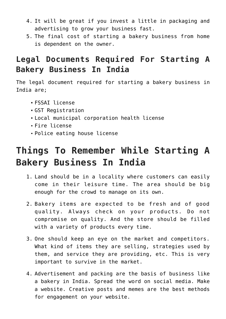- 4. It will be great if you invest a little in packaging and advertising to grow your business fast.
- 5. The final cost of starting a bakery business from home is dependent on the owner.

### **Legal Documents Required For Starting A Bakery Business In India**

The legal document required for starting a bakery business in India are;

- FSSAI license
- GST Registration
- Local municipal corporation health license
- Fire license
- Police eating house license

### **Things To Remember While Starting A Bakery Business In India**

- 1. Land should be in a locality where customers can easily come in their leisure time. The area should be big enough for the crowd to manage on its own.
- 2. Bakery items are expected to be fresh and of good quality. Always check on your products. Do not compromise on quality. And the store should be filled with a variety of products every time.
- 3. One should keep an eye on the market and competitors. What kind of items they are selling, strategies used by them, and service they are providing, etc. This is very important to survive in the market.
- 4. Advertisement and packing are the basis of business like a bakery in India. Spread the word on social media. Make a website. Creative posts and memes are the best methods for engagement on your website.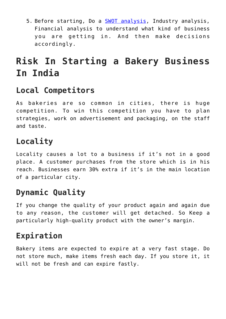5. Before starting, Do a [SWOT analysis](https://www.liveplan.com/blog/what-is-a-swot-analysis-and-how-to-do-it-right-with-examples/), Industry analysis, Financial analysis to understand what kind of business you are getting in. And then make decisions accordingly.

# **Risk In Starting a Bakery Business In India**

### **Local Competitors**

As bakeries are so common in cities, there is huge competition. To win this competition you have to plan strategies, work on advertisement and packaging, on the staff and taste.

### **Locality**

Locality causes a lot to a business if it's not in a good place. A customer purchases from the store which is in his reach. Businesses earn 30% extra if it's in the main location of a particular city.

### **Dynamic Quality**

If you change the quality of your product again and again due to any reason, the customer will get detached. So Keep a particularly high-quality product with the owner's margin.

### **Expiration**

Bakery items are expected to expire at a very fast stage. Do not store much, make items fresh each day. If you store it, it will not be fresh and can expire fastly.